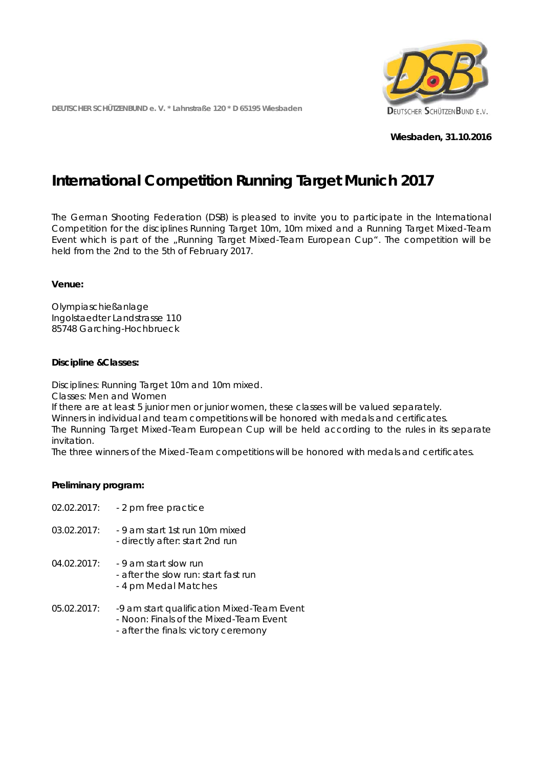**DEUTSCHER SCHÜTZENBUND e. V. \* Lahnstraße 120 \* D 65195 Wiesbaden**



**Wiesbaden, 31.10.2016**

# **International Competition Running Target Munich 2017**

The German Shooting Federation (DSB) is pleased to invite you to participate in the International Competition for the disciplines Running Target 10m, 10m mixed and a Running Target Mixed-Team Event which is part of the "Running Target Mixed-Team European Cup". The competition will be held from the 2nd to the 5th of February 2017.

## **Venue:**

Olympiaschießanlage Ingolstaedter Landstrasse 110 85748 Garching-Hochbrueck

## **Discipline &Classes:**

Disciplines: Running Target 10m and 10m mixed.

Classes: Men and Women

If there are at least 5 junior men or junior women, these classes will be valued separately. Winners in individual and team competitions will be honored with medals and certificates.

The Running Target Mixed-Team European Cup will be held according to the rules in its separate invitation.

The three winners of the Mixed-Team competitions will be honored with medals and certificates.

## **Preliminary program:**

| 02.02.2017: | - 2 pm free practice                                                                                                         |
|-------------|------------------------------------------------------------------------------------------------------------------------------|
| 03.02.2017: | - 9 am start 1st run 10m mixed<br>- directly after: start 2nd run                                                            |
| 04.02.2017: | - 9 am start slow run<br>- after the slow run: start fast run<br>- 4 pm Medal Matches                                        |
| 05.02.2017: | -9 am start qualification Mixed-Team Event<br>- Noon: Finals of the Mixed-Team Event<br>- after the finals: victory ceremony |